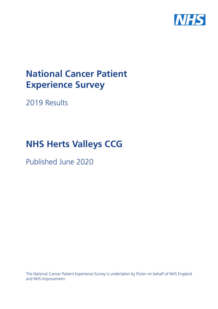

# **National Cancer Patient Experience Survey**

2019 Results

# **NHS Herts Valleys CCG**

Published June 2020

The National Cancer Patient Experience Survey is undertaken by Picker on behalf of NHS England and NHS Improvement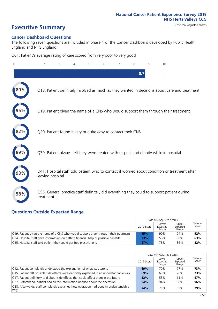# **Executive Summary** Case Mix Adjusted scores

#### **Cancer Dashboard Questions**

The following seven questions are included in phase 1 of the Cancer Dashboard developed by Public Health England and NHS England:

Q61. Patient's average rating of care scored from very poor to very good

| $\Omega$ | $\overline{2}$                                                | 3 | 5 | 6 | 7 | 8   | 9 | 10                                                                                            |
|----------|---------------------------------------------------------------|---|---|---|---|-----|---|-----------------------------------------------------------------------------------------------|
|          |                                                               |   |   |   |   | 8.7 |   |                                                                                               |
| 80%      |                                                               |   |   |   |   |     |   | Q18. Patient definitely involved as much as they wanted in decisions about care and treatment |
|          |                                                               |   |   |   |   |     |   | Q19. Patient given the name of a CNS who would support them through their treatment           |
| 82%      | Q20. Patient found it very or quite easy to contact their CNS |   |   |   |   |     |   |                                                                                               |
| 89%      |                                                               |   |   |   |   |     |   | Q39. Patient always felt they were treated with respect and dignity while in hospital         |
|          | leaving hospital                                              |   |   |   |   |     |   | Q41. Hospital staff told patient who to contact if worried about condition or treatment after |
| 58%      | treatment                                                     |   |   |   |   |     |   | Q55. General practice staff definitely did everything they could to support patient during    |

#### **Questions Outside Expected Range**

|                                                                                     |            | Case Mix Adjusted Scores   |                            |                   |
|-------------------------------------------------------------------------------------|------------|----------------------------|----------------------------|-------------------|
|                                                                                     | 2019 Score | Lower<br>Expected<br>Range | Upper<br>Expected<br>Range | National<br>Score |
| Q19. Patient given the name of a CNS who would support them through their treatment | 95%        | 90%                        | 94%                        | 92%               |
| Q24. Hospital staff gave information on getting financial help or possible benefits | 73%        | 58%                        | 68%                        | 63%               |
| Q25. Hospital staff told patient they could get free prescriptions                  | 87%        | 78%                        | 86%                        | 82%               |

|                                                                                             |            | Case Mix Adjusted Scores   |                            |                   |
|---------------------------------------------------------------------------------------------|------------|----------------------------|----------------------------|-------------------|
|                                                                                             | 2019 Score | Lower<br>Expected<br>Range | Upper<br>Expected<br>Range | National<br>Score |
| Q12. Patient completely understood the explanation of what was wrong                        | 69%        | 70%                        | 77%                        | 73%               |
| Q15. Patient felt possible side effects were definitely explained in an understandable way  | 69%        | 69%                        | 76%                        | 73%               |
| Q17. Patient definitely told about side effects that could affect them in the future        | 52%        | 53%                        | 61%                        | 57%               |
| Q27. Beforehand, patient had all the information needed about the operation                 | 94%        | 94%                        | 98%                        | 96%               |
| Q28. Afterwards, staff completely explained how operation had gone in understandable<br>way | 74%        | 75%                        | 83%                        | 79%               |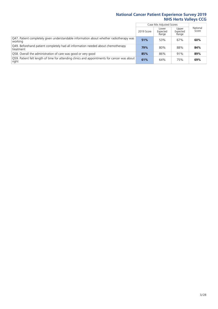Ē

|                                                                                                       |            | Case Mix Adjusted Scores   |                            |                   |
|-------------------------------------------------------------------------------------------------------|------------|----------------------------|----------------------------|-------------------|
|                                                                                                       | 2019 Score | Lower<br>Expected<br>Range | Upper<br>Expected<br>Range | National<br>Score |
| Q47. Patient completely given understandable information about whether radiotherapy was<br>working    | 51%        | 53%                        | 67%                        | 60%               |
| Q49. Beforehand patient completely had all information needed about chemotherapy<br>treatment         | 79%        | 80%                        | 88%                        | 84%               |
| Q58. Overall the administration of care was good or very good                                         | 85%        | 86%                        | 91%                        | 89%               |
| O59. Patient felt length of time for attending clinics and appointments for cancer was about<br>right | 61%        | 64%                        | 75%                        | 69%               |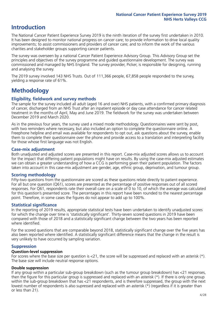## **Introduction**

The National Cancer Patient Experience Survey 2019 is the ninth iteration of the survey first undertaken in 2010. It has been designed to monitor national progress on cancer care; to provide information to drive local quality improvements; to assist commissioners and providers of cancer care; and to inform the work of the various charities and stakeholder groups supporting cancer patients.

The survey was overseen by a national Cancer Patient Experience Advisory Group. This Advisory Group set the principles and objectives of the survey programme and guided questionnaire development. The survey was commissioned and managed by NHS England. The survey provider, Picker, is responsible for designing, running and analysing the survey.

The 2019 survey involved 143 NHS Trusts. Out of 111,366 people, 67,858 people responded to the survey, yielding a response rate of 61%.

# **Methodology**

#### **Eligibility, eldwork and survey methods**

The sample for the survey included all adult (aged 16 and over) NHS patients, with a confirmed primary diagnosis of cancer, discharged from an NHS Trust after an inpatient episode or day case attendance for cancer related treatment in the months of April, May and June 2019. The fieldwork for the survey was undertaken between December 2019 and March 2020.

As in the previous four years, the survey used a mixed mode methodology. Questionnaires were sent by post, with two reminders where necessary, but also included an option to complete the questionnaire online. A Freephone helpline and email was available for respondents to opt out, ask questions about the survey, enable them to complete their questionnaire over the phone and provide access to a translation and interpreting facility for those whose first language was not English.

#### **Case-mix adjustment**

Both unadjusted and adjusted scores are presented in this report. Case-mix adjusted scores allows us to account for the impact that differing patient populations might have on results. By using the case-mix adjusted estimates we can obtain a greater understanding of how a CCG is performing given their patient population. The factors taken into account in this case-mix adjustment are gender, age, ethnic group, deprivation, and tumour group.

#### **Scoring methodology**

Fifty-two questions from the questionnaire are scored as these questions relate directly to patient experience. For all but one question (Q61), scores are presented as the percentage of positive responses out of all scored responses. For Q61, respondents rate their overall care on a scale of 0 to 10, of which the average was calculated for this question's presented score. The percentages in this report have been rounded to the nearest percentage point. Therefore, in some cases the figures do not appear to add up to 100%.

#### **Statistical significance**

In the reporting of 2019 results, appropriate statistical tests have been undertaken to identify unadjusted scores for which the change over time is 'statistically significant'. Thirty-seven scored questions in 2019 have been compared with those of 2018 and a statistically significant change between the two years has been reported where identified.

For the scored questions that are comparable beyond 2018, statistically significant change over the five years has also been reported where identified. A statistically significant difference means that the change in the result is very unlikely to have occurred by sampling variation.

#### **Suppression**

#### **Question-level suppression**

For scores where the base size per question is  $<$ 21, the score will be suppressed and replaced with an asterisk (\*). The base size will include neutral response options.

#### **Double suppression**

If any group within a particular sub-group breakdown (such as the tumour group breakdown) has <21 responses, then the figure for this particular group is suppressed and replaced with an asterisk (\*). If there is only one group within the sub-group breakdown that has <21 respondents, and is therefore suppressed, the group with the next lowest number of respondents is also supressed and replaced with an asterisk (\*) (regardless if it is greater than or less than 21).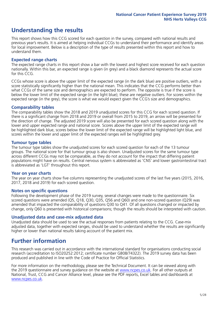## **Understanding the results**

This report shows how this CCG scored for each question in the survey, compared with national results and previous year's results. It is aimed at helping individual CCGs to understand their performance and identify areas for local improvement. Below is a description of the type of results presented within this report and how to understand them.

#### **Expected range charts**

The expected range charts in this report show a bar with the lowest and highest score received for each question nationally. Within this bar, an expected range is given (in grey) and a black diamond represents the actual score for this CCG.

CCGs whose score is above the upper limit of the expected range (in the dark blue) are positive outliers, with a score statistically significantly higher than the national mean. This indicates that the CCG performs better than what CCGs of the same size and demographics are expected to perform. The opposite is true if the score is below the lower limit of the expected range (in the light blue); these are negative outliers. For scores within the expected range (in the grey), the score is what we would expect given the CCG's size and demographics.

#### **Comparability tables**

The comparability tables show the 2018 and 2019 unadjusted scores for this CCG for each scored question. If there is a significant change from 2018 and 2019 or overall from 2015 to 2019, an arrow will be presented for the direction of change. The adjusted 2019 score will also be presented for each scored question along with the lower and upper expected range and national score. Scores above the upper limit of the expected range will be highlighted dark blue, scores below the lower limit of the expected range will be highlighted light blue, and scores within the lower and upper limit of the expected ranges will be highlighted grey.

#### **Tumour type tables**

The tumour type tables show the unadjusted scores for each scored question for each of the 13 tumour groups. The national score for that tumour group is also shown. Unadjusted scores for the same tumour type across different CCGs may not be comparable, as they do not account for the impact that differing patient populations might have on results. Central nervous system is abbreviated as 'CNS' and lower gastrointestinal tract is abbreviated as 'LGT' throughout this report.

#### **Year on year charts**

The year on year charts show five columns representing the unadjusted scores of the last five years (2015, 2016, 2017, 2018 and 2019) for each scored question.

#### **Notes on specific questions**

Following the development phase of the 2019 survey, several changes were made to the questionnaire. Six scored questions were amended (Q5, Q18, Q30, Q35, Q56 and Q60) and one non-scored question (Q29) was amended that impacted the comparability of questions Q30 to Q41. Of all questions changed or impacted by change, only Q60 is presented with historical comparisons; though the results should be interpreted with caution.

#### **Unadjusted data and case-mix adjusted data**

Unadjusted data should be used to see the actual responses from patients relating to the CCG. Case-mix adjusted data, together with expected ranges, should be used to understand whether the results are significantly higher or lower than national results taking account of the patient mix.

### **Further information**

This research was carried out in accordance with the international standard for organisations conducting social research (accreditation to ISO20252:2012; certificate number GB08/74322). The 2019 survey data has been produced and published in line with the Code of Practice for Official Statistics.

For more information on the methodology, please see the Technical Document. It can be viewed along with the 2019 questionnaire and survey quidance on the website at [www.ncpes.co.uk](https://www.ncpes.co.uk/supporting-documents). For all other outputs at National, Trust, CCG and Cancer Alliance level, please see the PDF reports, Excel tables and dashboards at [www.ncpes.co.uk.](https://www.ncpes.co.uk/current-results)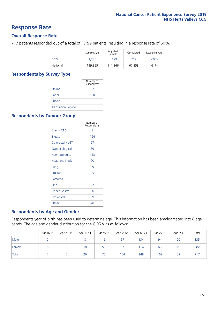### **Response Rate**

#### **Overall Response Rate**

717 patients responded out of a total of 1,199 patients, resulting in a response rate of 60%.

|            | Sample Size | Adjusted<br>Sample | Completed | Response Rate |
|------------|-------------|--------------------|-----------|---------------|
| <b>CCG</b> | 1,285       | 1.199              | 717       | 60%           |
| National   | 119,855     | 111,366            | 67.858    | 61%           |

#### **Respondents by Survey Type**

|                            | Number of<br>Respondents |
|----------------------------|--------------------------|
| Online                     | 87                       |
| Paper                      | 630                      |
| Phone                      |                          |
| <b>Translation Service</b> |                          |

#### **Respondents by Tumour Group**

|                      | Number of<br>Respondents |
|----------------------|--------------------------|
| <b>Brain / CNS</b>   | 3                        |
| <b>Breast</b>        | 164                      |
| Colorectal / LGT     | 67                       |
| Gynaecological       | 39                       |
| Haematological       | 113                      |
| <b>Head and Neck</b> | 20                       |
| Lung                 | 29                       |
| Prostate             | 95                       |
| Sarcoma              | 6                        |
| Skin                 | 22                       |
| Upper Gastro         | 30                       |
| Urological           | 59                       |
| Other                | 70                       |

#### **Respondents by Age and Gender**

Respondents year of birth has been used to determine age. This information has been amalgamated into 8 age bands. The age and gender distribution for the CCG was as follows:

|        | Age 16-24 | Age 25-34 | Age 35-44 | Age 45-54 | Age 55-64 | Age 65-74 | Age 75-84 | Age 85+ | Total |
|--------|-----------|-----------|-----------|-----------|-----------|-----------|-----------|---------|-------|
| Male   |           |           |           | 16        | 57        | 134       | 94        | 20      | 335   |
| Female |           |           | 18        | 59        | 97        | 114       | 68        | 19      | 382   |
| Total  |           |           | 26        | 75        | 154       | 248       | 162       | 39      | 717   |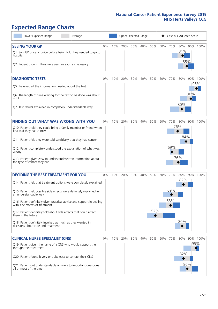# **Expected Range Charts**

| Lower Expected Range<br>Average                                                                                                                                                                                                                                                                                                                                                                                                                                                                                             |       |     |     | Upper Expected Range |     |            |     |                   | Case Mix Adjusted Score  |            |                 |
|-----------------------------------------------------------------------------------------------------------------------------------------------------------------------------------------------------------------------------------------------------------------------------------------------------------------------------------------------------------------------------------------------------------------------------------------------------------------------------------------------------------------------------|-------|-----|-----|----------------------|-----|------------|-----|-------------------|--------------------------|------------|-----------------|
| <b>SEEING YOUR GP</b><br>Q1. Saw GP once or twice before being told they needed to go to<br>hospital<br>Q2. Patient thought they were seen as soon as necessary                                                                                                                                                                                                                                                                                                                                                             | 0%    | 10% | 20% | 30%                  | 40% | 50%        | 60% | 70%               | 80%<br>81%               | 85%        | 90% 100%        |
| <b>DIAGNOSTIC TESTS</b><br>Q5. Received all the information needed about the test<br>Q6. The length of time waiting for the test to be done was about<br>right<br>Q7. Test results explained in completely understandable way                                                                                                                                                                                                                                                                                               | 0%    | 10% | 20% | 30%                  | 40% | 50%        | 60% | 70%               | 80%<br>80%               | 90%        | 90% 100%<br>95% |
| <b>FINDING OUT WHAT WAS WRONG WITH YOU</b><br>Q10. Patient told they could bring a family member or friend when<br>first told they had cancer<br>Q11. Patient felt they were told sensitively that they had cancer<br>Q12. Patient completely understood the explanation of what was<br>wrong<br>Q13. Patient given easy to understand written information about<br>the type of cancer they had                                                                                                                             | $0\%$ | 10% | 20% | 30%                  | 40% | 50%        | 60% | 70%<br>69%        | 80%<br>76%<br>84%<br>76% |            | 90% 100%        |
| <b>DECIDING THE BEST TREATMENT FOR YOU</b><br>Q14. Patient felt that treatment options were completely explained<br>Q15. Patient felt possible side effects were definitely explained in<br>an understandable way<br>Q16. Patient definitely given practical advice and support in dealing<br>with side effects of treatment<br>Q17. Patient definitely told about side effects that could affect<br>them in the future<br>Q18. Patient definitely involved as much as they wanted in<br>decisions about care and treatment | 0%    | 10% | 20% | 30%                  | 40% | 50%<br>52% | 60% | 70%<br>69%<br>68% | 80%<br>82%<br>80%        |            | 90% 100%        |
| <b>CLINICAL NURSE SPECIALIST (CNS)</b><br>Q19. Patient given the name of a CNS who would support them<br>through their treatment<br>Q20. Patient found it very or quite easy to contact their CNS<br>Q21. Patient got understandable answers to important questions<br>all or most of the time                                                                                                                                                                                                                              | 0%    | 10% | 20% | 30%                  | 40% | 50%        | 60% | 70%               | 80%<br>82%               | 95%<br>86% | 90% 100%        |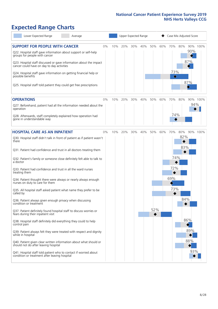# **Expected Range Charts**

| Lower Expected Range<br>Average                                                                                   |     |     | Upper Expected Range |     |            | Case Mix Adjusted Score |
|-------------------------------------------------------------------------------------------------------------------|-----|-----|----------------------|-----|------------|-------------------------|
| <b>SUPPORT FOR PEOPLE WITH CANCER</b><br>0%<br>Q22. Hospital staff gave information about support or self-help    | 10% | 20% | 30%<br>40%           | 50% | 60%<br>70% | 90% 100%<br>80%<br>90%  |
| groups for people with cancer<br>Q23. Hospital staff discussed or gave information about the impact               |     |     |                      |     |            | 87%                     |
| cancer could have on day to day activities<br>Q24. Hospital staff gave information on getting financial help or   |     |     |                      |     |            | 73%                     |
| possible benefits<br>Q25. Hospital staff told patient they could get free prescriptions                           |     |     |                      |     |            | ♦<br>87%                |
|                                                                                                                   |     |     |                      |     |            |                         |
| <b>OPERATIONS</b><br>0%                                                                                           | 10% | 20% | 30%<br>40%           | 50% | 60%<br>70% | 80%<br>90% 100%         |
| Q27. Beforehand, patient had all the information needed about the<br>operation                                    |     |     |                      |     |            | 94%                     |
| Q28. Afterwards, staff completely explained how operation had<br>gone in understandable way                       |     |     |                      |     |            | 74%                     |
| <b>HOSPITAL CARE AS AN INPATIENT</b><br>0%                                                                        | 10% | 20% | 30%<br>40%           | 50% | 60%<br>70% | 80%<br>90% 100%         |
| Q30. Hospital staff didn't talk in front of patient as if patient wasn't<br>there                                 |     |     |                      |     |            | 82%                     |
| Q31. Patient had confidence and trust in all doctors treating them                                                |     |     |                      |     |            | 83%                     |
| Q32. Patient's family or someone close definitely felt able to talk to<br>a doctor                                |     |     |                      |     |            | 74%                     |
| Q33. Patient had confidence and trust in all the ward nurses<br>treating them                                     |     |     |                      |     |            | 72%                     |
| Q34. Patient thought there were always or nearly always enough<br>nurses on duty to care for them                 |     |     |                      |     | 69%        |                         |
| Q35. All hospital staff asked patient what name they prefer to be<br>called by                                    |     |     |                      |     |            | 73%                     |
| Q36. Patient always given enough privacy when discussing<br>condition or treatment                                |     |     |                      |     |            | 84%                     |
| Q37. Patient definitely found hospital staff to discuss worries or<br>fears during their inpatient visit          |     |     |                      | 52% |            |                         |
| Q38. Hospital staff definitely did everything they could to help<br>control pain                                  |     |     |                      |     |            | 86%                     |
| Q39. Patient always felt they were treated with respect and dignity<br>while in hospital                          |     |     |                      |     |            | 89%                     |
| Q40. Patient given clear written information about what should or<br>should not do after leaving hospital         |     |     |                      |     |            | 88%                     |
| Q41. Hospital staff told patient who to contact if worried about<br>condition or treatment after leaving hospital |     |     |                      |     |            | 93%                     |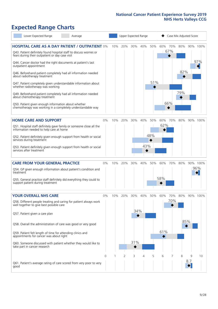# **Expected Range Charts**

| Lower Expected Range                                                                                                        | Average |          |     |     |     | Upper Expected Range |     | Case Mix Adjusted Score |            |     |     |          |  |
|-----------------------------------------------------------------------------------------------------------------------------|---------|----------|-----|-----|-----|----------------------|-----|-------------------------|------------|-----|-----|----------|--|
| <b>HOSPITAL CARE AS A DAY PATIENT / OUTPATIENT 0%</b><br>Q43. Patient definitely found hospital staff to discuss worries or |         |          | 10% | 20% | 30% | 40%                  | 50% | 60%                     | 70%<br>67% | 80% |     | 90% 100% |  |
| fears during their outpatient or day case visit                                                                             |         |          |     |     |     |                      |     |                         | ◆          |     |     | 97%      |  |
| Q44. Cancer doctor had the right documents at patient's last<br>outpatient appointment                                      |         |          |     |     |     |                      |     |                         |            | 82% |     |          |  |
| Q46. Beforehand patient completely had all information needed<br>about radiotherapy treatment                               |         |          |     |     |     |                      | 51% |                         |            |     |     |          |  |
| Q47. Patient completely given understandable information about<br>whether radiotherapy was working                          |         |          |     |     |     |                      |     |                         |            | 79% |     |          |  |
| Q49. Beforehand patient completely had all information needed<br>about chemotherapy treatment                               |         |          |     |     |     |                      |     |                         |            |     |     |          |  |
| Q50. Patient given enough information about whether<br>chemotherapy was working in a completely understandable way          |         |          |     |     |     |                      |     |                         | 66%        |     |     |          |  |
| <b>HOME CARE AND SUPPORT</b>                                                                                                |         | 0%       | 10% | 20% | 30% | 40%                  | 50% | 60%                     | 70%        | 80% |     | 90% 100% |  |
| Q51. Hospital staff definitely gave family or someone close all the<br>information needed to help care at home              |         |          |     |     |     |                      |     | 62%                     |            |     |     |          |  |
| Q52. Patient definitely given enough support from health or social<br>services during treatment                             |         |          |     |     |     |                      | 48% |                         |            |     |     |          |  |
| Q53. Patient definitely given enough support from health or social<br>services after treatment                              |         |          |     |     |     | 43%                  |     |                         |            |     |     |          |  |
| <b>CARE FROM YOUR GENERAL PRACTICE</b>                                                                                      |         | 0%       | 10% | 20% | 30% | 40%                  | 50% | 60%                     | 70%        | 80% |     | 90% 100% |  |
| Q54. GP given enough information about patient's condition and<br>treatment                                                 |         |          |     |     |     |                      |     |                         |            |     |     | 96%      |  |
| Q55. General practice staff definitely did everything they could to<br>support patient during treatment                     |         |          |     |     |     |                      |     | 58%                     |            |     |     |          |  |
| <b>YOUR OVERALL NHS CARE</b>                                                                                                |         | 0%       | 10% | 20% | 30% | 40%                  | 50% | 60%                     | 70%        | 80% |     | 90% 100% |  |
| Q56. Different people treating and caring for patient always work<br>well together to give best possible care               |         |          |     |     |     |                      |     |                         | 70%        |     |     |          |  |
| Q57. Patient given a care plan                                                                                              |         |          |     |     | 34% |                      |     |                         |            |     |     |          |  |
| Q58. Overall the administration of care was good or very good                                                               |         |          |     |     |     |                      |     |                         |            |     | 85% |          |  |
| Q59. Patient felt length of time for attending clinics and<br>appointments for cancer was about right                       |         |          |     |     |     |                      |     | 61%                     |            |     |     |          |  |
| Q60. Someone discussed with patient whether they would like to<br>take part in cancer research                              |         |          |     |     | 31% |                      |     |                         |            |     |     |          |  |
|                                                                                                                             |         | $\Omega$ |     | 2   | 3   | 4                    | 5   | 6                       |            | 8   | 9   | 10       |  |
| Q61. Patient's average rating of care scored from very poor to very<br>good                                                 |         |          |     |     |     |                      |     |                         |            |     | 8.7 |          |  |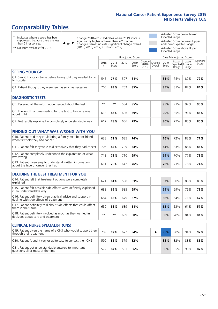# **Comparability Tables**

\* Indicates where a score has been suppressed because there are less than 21 responses.

\*\* No score available for 2018.

 $\triangle$  or  $\nabla$ 

Change 2018-2019: Indicates where 2019 score is significantly higher or lower than 2018 score Change Overall: Indicates significant change overall (2015, 2016, 2017, 2018 and 2019).

Adjusted Score below Lower Expected Range Adjusted Score between Upper and Lower Expected Ranges Adjusted Score above Upper Expected Range

|                                                                             | Unadjusted Scores |               |           |               |                                                      |         |               | Case Mix Adjusted Scores |                                     |                   |
|-----------------------------------------------------------------------------|-------------------|---------------|-----------|---------------|------------------------------------------------------|---------|---------------|--------------------------|-------------------------------------|-------------------|
|                                                                             | 2018<br>n         | 2018<br>Score | 2019<br>n | 2019<br>Score | $\cdot$   Change   Change   $\cdot$<br>2018-<br>2019 | Overall | 2019<br>Score | Lower<br>Range           | Upper<br>Expected Expected<br>Range | National<br>Score |
| <b>SEEING YOUR GP</b>                                                       |                   |               |           |               |                                                      |         |               |                          |                                     |                   |
| Q1. Saw GP once or twice before being told they needed to go<br>to hospital | 545               | 77%           | 507       | 81%           |                                                      |         | 81%           | 75%                      | 82%                                 | 79%               |
| Q2. Patient thought they were seen as soon as necessary                     | 705               | 83%           | 702       | 85%           |                                                      |         | 85%           | 81%                      | 87%                                 | 84%               |
| <b>DIAGNOSTIC TESTS</b>                                                     |                   |               |           |               |                                                      |         |               |                          |                                     |                   |

| <b>PIASIVOJIJE I LJIJ</b>                                                 |      |     |     |     |  |     |     |     |     |
|---------------------------------------------------------------------------|------|-----|-----|-----|--|-----|-----|-----|-----|
| O5. Received all the information needed about the test                    | $**$ | **  | 584 | 95% |  | 95% | 93% | 97% | 95% |
| Q6. The length of time waiting for the test to be done was<br>about right | 618  | 86% | 606 | 89% |  | 90% | 85% | 91% | 88% |
| Q7. Test results explained in completely understandable way               | 617  | 78% | 606 | 79% |  | 80% | 77% | 83% | 80% |

| <b>FINDING OUT WHAT WAS WRONG WITH YOU</b>                                                      |     |     |     |     |     |     |     |     |
|-------------------------------------------------------------------------------------------------|-----|-----|-----|-----|-----|-----|-----|-----|
| Q10. Patient told they could bring a family member or friend<br>when first told they had cancer | 638 | 72% | 635 | 74% | 76% | 72% | 82% | 77% |
| Q11. Patient felt they were told sensitively that they had cancer                               | 705 | 82% | 709 | 84% | 84% | 83% | 88% | 86% |
| Q12. Patient completely understood the explanation of what<br>was wrong                         | 718 | 72% | 710 | 69% | 69% | 70% | 77% | 73% |
| Q13. Patient given easy to understand written information<br>about the type of cancer they had  | 61  | 70% | 642 | 76% | 76% | 71% | 78% | 74% |

| <b>DECIDING THE BEST TREATMENT FOR YOU</b>                                                              |              |     |     |     |  |     |     |     |     |
|---------------------------------------------------------------------------------------------------------|--------------|-----|-----|-----|--|-----|-----|-----|-----|
| Q14. Patient felt that treatment options were completely<br>explained                                   | $62^{\circ}$ | 81% | 598 | 81% |  | 82% | 80% | 86% | 83% |
| Q15. Patient felt possible side effects were definitely explained<br>in an understandable way           | 688          | 69% | 685 | 69% |  | 69% | 69% | 76% | 73% |
| Q16. Patient definitely given practical advice and support in<br>dealing with side effects of treatment | 684          | 65% | 679 | 67% |  | 68% | 64% | 71% | 67% |
| Q17. Patient definitely told about side effects that could affect<br>them in the future                 | 650          | 53% | 639 | 51% |  | 52% | 53% | 61% | 57% |
| Q18. Patient definitely involved as much as they wanted in<br>decisions about care and treatment        | $**$         | **  | 699 | 80% |  | 80% | 78% | 84% | 81% |

| <b>CLINICAL NURSE SPECIALIST (CNS)</b>                                                    |     |     |     |     |  |     |     |     |     |
|-------------------------------------------------------------------------------------------|-----|-----|-----|-----|--|-----|-----|-----|-----|
| Q19. Patient given the name of a CNS who would support them<br>through their treatment    | 709 | 92% | 672 | 94% |  | 95% | 90% | 94% | 92% |
| Q20. Patient found it very or quite easy to contact their CNS                             | 590 | 82% | 579 | 82% |  | 82% | 82% | 88% | 85% |
| Q21. Patient got understandable answers to important<br>questions all or most of the time | 572 | 87% | 553 | 86% |  | 86% | 85% | 90% | 87% |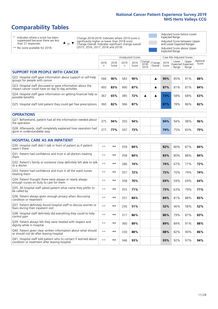# **Comparability Tables**

\* Indicates where a score has been suppressed because there are less than 21 responses.

\*\* No score available for 2018.

 $\triangle$  or  $\nabla$ 

Change 2018-2019: Indicates where 2019 score is significantly higher or lower than 2018 score Change Overall: Indicates significant change overall (2015, 2016, 2017, 2018 and 2019).

Adjusted Score below Lower Expected Range Adjusted Score between Upper and Lower Expected Ranges Adjusted Score above Upper Expected Range

|                                                                                                                   |              |               |            | Unadjusted Scores |                         |                   |               | Case Mix Adjusted Scores            |                |                   |
|-------------------------------------------------------------------------------------------------------------------|--------------|---------------|------------|-------------------|-------------------------|-------------------|---------------|-------------------------------------|----------------|-------------------|
|                                                                                                                   | 2018<br>n    | 2018<br>Score | 2019<br>n. | 2019<br>Score     | Change<br>2018-<br>2019 | Change<br>Overall | 2019<br>Score | Lower<br>Expected Expected<br>Range | Upper<br>Range | National<br>Score |
| <b>SUPPORT FOR PEOPLE WITH CANCER</b>                                                                             |              |               |            |                   |                         |                   |               |                                     |                |                   |
| Q22. Hospital staff gave information about support or self-help<br>groups for people with cancer                  | 566          | 90%           | 583        | 90%               |                         | ▲                 | 90%           | 85%                                 | 91%            | 88%               |
| Q23. Hospital staff discussed or gave information about the<br>impact cancer could have on day to day activities  | 493          | 83%           | 490        | 87%               |                         | ▲                 | 87%           | 81%                                 | 87%            | 84%               |
| Q24. Hospital staff gave information on getting financial help or<br>possible benefits                            | 367          | 65%           | 385        | 72%               | ▲                       | ▲                 | 73%           | 58%                                 | 68%            | 63%               |
| Q25. Hospital staff told patient they could get free prescriptions                                                | 360          | 82%           | 366        | 87%               |                         |                   | 87%           | 78%                                 | 86%            | 82%               |
| <b>OPERATIONS</b>                                                                                                 |              |               |            |                   |                         |                   |               |                                     |                |                   |
| Q27. Beforehand, patient had all the information needed about<br>the operation                                    | 375          | 94%           | 350        | 94%               |                         |                   | 94%           | 94%                                 | 98%            | 96%               |
| Q28. Afterwards, staff completely explained how operation had<br>gone in understandable way                       | 377          | 77%           | 347        | 73%               |                         |                   | 74%           | 75%                                 | 83%            | 79%               |
| <b>HOSPITAL CARE AS AN INPATIENT</b>                                                                              |              |               |            |                   |                         |                   |               |                                     |                |                   |
| Q30. Hospital staff didn't talk in front of patient as if patient<br>wasn't there                                 | $**$         | **            | 359        | 84%               |                         |                   | 82%           | 80%                                 | 87%            | 84%               |
| Q31. Patient had confidence and trust in all doctors treating<br>them                                             | $* *$        | **            | 358        | 84%               |                         |                   | 83%           | 80%                                 | 88%            | 84%               |
| Q32. Patient's family or someone close definitely felt able to talk<br>to a doctor                                | $* *$        | **            | 286        | 74%               |                         |                   | 74%           | 67%                                 | 77%            | 72%               |
| Q33. Patient had confidence and trust in all the ward nurses<br>treating them                                     | $* *$        | **            | 357        | 72%               |                         |                   | 72%           | 70%                                 | 79%            | 74%               |
| Q34. Patient thought there were always or nearly always<br>enough nurses on duty to care for them                 | $**$         | $***$         | 358        | 70%               |                         |                   | 69%           | 59%                                 | 69%            | 64%               |
| Q35. All hospital staff asked patient what name they prefer to<br>be called by                                    | $**$         | **            | 355        | 71%               |                         |                   | 73%           | 63%                                 | 79%            | 71%               |
| Q36. Patient always given enough privacy when discussing<br>condition or treatment                                | $\star\star$ | $***$         | 357        | 84%               |                         |                   | 84%           | 81%                                 | 88%            | 85%               |
| Q37. Patient definitely found hospital staff to discuss worries or<br>fears during their inpatient visit          | $* *$        | **            | 256        | 51%               |                         |                   | 52%           | 46%                                 | 58%            | 52%               |
| Q38. Hospital staff definitely did everything they could to help<br>control pain                                  | $* *$        | **            | 317        | 86%               |                         |                   | 86%           | 79%                                 | 87%            | 83%               |
| Q39. Patient always felt they were treated with respect and<br>dignity while in hospital                          | $***$        | **            | 360        | 89%               |                         |                   | 89%           | 84%                                 | 91%            | 88%               |
| Q40. Patient given clear written information about what should<br>or should not do after leaving hospital         | $**$         | **            | 330        | 88%               |                         |                   | 88%           | 82%                                 | 90%            | 86%               |
| Q41. Hospital staff told patient who to contact if worried about<br>condition or treatment after leaving hospital | $**$         | **            | 346        | 93%               |                         |                   | 93%           | 92%                                 | 97%            | 94%               |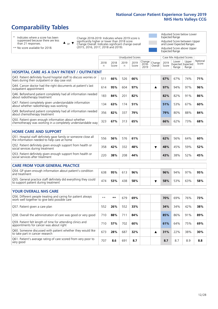# **Comparability Tables**

\* Indicates where a score has been suppressed because there are less than 21 responses.

\*\* No score available for 2018.

 $\triangle$  or  $\nabla$ 

Change 2018-2019: Indicates where 2019 score is significantly higher or lower than 2018 score Change Overall: Indicates significant change overall (2015, 2016, 2017, 2018 and 2019).

Adjusted Score below Lower Expected Range Adjusted Score between Upper and Lower Expected Ranges Adjusted Score above Upper Expected Range

|                                                                                                                       |           |               |            | <b>Unadjusted Scores</b> |                            |                   |               | Case Mix Adjusted Scores |                                     |                   |
|-----------------------------------------------------------------------------------------------------------------------|-----------|---------------|------------|--------------------------|----------------------------|-------------------|---------------|--------------------------|-------------------------------------|-------------------|
|                                                                                                                       | 2018<br>n | 2018<br>Score | 2019<br>n. | 2019<br>Score            | Change<br>$2018 -$<br>2019 | Change<br>Overall | 2019<br>Score | Lower<br>Range           | Upper<br>Expected Expected<br>Range | National<br>Score |
| <b>HOSPITAL CARE AS A DAY PATIENT / OUTPATIENT</b>                                                                    |           |               |            |                          |                            |                   |               |                          |                                     |                   |
| Q43. Patient definitely found hospital staff to discuss worries or<br>fears during their outpatient or day case visit | 511       | 66%           | 526        | 66%                      |                            |                   | 67%           | 67%                      | 74%                                 | 71%               |
| Q44. Cancer doctor had the right documents at patient's last<br>outpatient appointment                                | 614       | 95%           | 604        | 97%                      |                            | ▲                 | 97%           | 94%                      | 97%                                 | 96%               |
| Q46. Beforehand patient completely had all information needed<br>about radiotherapy treatment                         | 183       | 84%           | 201        | 82%                      |                            |                   | 82%           | 82%                      | 91%                                 | 86%               |
| Q47. Patient completely given understandable information<br>about whether radiotherapy was working                    | 134       | 63%           | 174        | 51%                      |                            |                   | 51%           | 53%                      | 67%                                 | 60%               |
| Q49. Beforehand patient completely had all information needed<br>about chemotherapy treatment                         | 356       | 82%           | 337        | 79%                      |                            |                   | 79%           | 80%                      | 88%                                 | 84%               |
| Q50. Patient given enough information about whether<br>chemotherapy was working in a completely understandable way    | 323       | 67%           | 313        | 65%                      |                            |                   | 66%           | 62%                      | 73%                                 | 68%               |
| <b>HOME CARE AND SUPPORT</b>                                                                                          |           |               |            |                          |                            |                   |               |                          |                                     |                   |
| Q51. Hospital staff definitely gave family or someone close all<br>the information needed to help care at home        | 556       | 56%           | 576        | 61%                      |                            |                   | 62%           | 56%                      | 64%                                 | 60%               |
| Q52. Patient definitely given enough support from health or<br>social services during treatment                       | 358       | 42%           | 332        | 48%                      |                            | ▼                 | 48%           | 45%                      | 59%                                 | 52%               |
| Q53. Patient definitely given enough support from health or<br>social services after treatment                        | 220       | 38%           | 208        | 44%                      |                            |                   | 43%           | 38%                      | 52%                                 | 45%               |
| <b>CARE FROM YOUR GENERAL PRACTICE</b>                                                                                |           |               |            |                          |                            |                   |               |                          |                                     |                   |
| Q54. GP given enough information about patient's condition<br>and treatment                                           | 638       | 95%           | 613        | 96%                      |                            |                   | 96%           | 94%                      | 97%                                 | 95%               |
| Q55. General practice staff definitely did everything they could<br>to support patient during treatment               | 474       | 53%           | 438        | 58%                      |                            | ▼                 | 58%           | 53%                      | 63%                                 | 58%               |
| <b>YOUR OVERALL NHS CARE</b>                                                                                          |           |               |            |                          |                            |                   |               |                          |                                     |                   |
| Q56. Different people treating and caring for patient always<br>work well together to give best possible care         | $* *$     | $***$         | 679        | 69%                      |                            |                   | 70%           | 69%                      | 76%                                 | 73%               |
| Q57. Patient given a care plan                                                                                        | 552       | 26%           | 552        | 33%                      |                            |                   | 34%           | 34%                      | 42%                                 | 38%               |
| Q58. Overall the administration of care was good or very good                                                         | 710       | 88%           | 711        | 84%                      |                            |                   | 85%           | 86%                      | 91%                                 | 89%               |
| Q59. Patient felt length of time for attending clinics and<br>appointments for cancer was about right                 | 710       | 57%           | 702        | 60%                      |                            |                   | 61%           | 64%                      | 75%                                 | 69%               |
| Q60. Someone discussed with patient whether they would like<br>to take part in cancer research                        | 673       | 28%           | 687        | 32%                      |                            | ▲                 | 31%           | 22%                      | 38%                                 | 30%               |
| Q61. Patient's average rating of care scored from very poor to<br>very good                                           | 707       | 8.6           | 691        | 8.7                      |                            |                   | 8.7           | 8.7                      | 8.9                                 | 8.8               |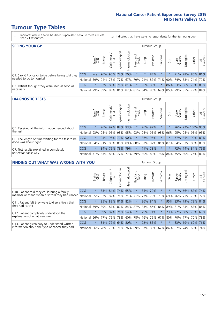- \* Indicates where a score has been suppressed because there are less than 21 responses.
- n.a. Indicates that there were no respondents for that tumour group.

| <b>SEEING YOUR GP</b>                           |            |         |               |                   |                |                |                  |                             | Tumour Group |         |                                                     |                 |                     |       |                |
|-------------------------------------------------|------------|---------|---------------|-------------------|----------------|----------------|------------------|-----------------------------|--------------|---------|-----------------------------------------------------|-----------------|---------------------|-------|----------------|
|                                                 |            | Brain   | <b>Breast</b> | Colorectal<br>LGT | Gynaecological | Haematological | Head and<br>Neck | Dung                        | Prostate     | Sarcoma | Skin                                                | Upper<br>Gastro | Jrological          | Other | All<br>Cancers |
| Q1. Saw GP once or twice before being told they | <b>CCG</b> | n.a.    |               | 96% 90%           | 72% 70%        |                | $\star$          | $\star$                     | 83%          | $\star$ |                                                     |                 | 71% 78% 80% 81%     |       |                |
| needed to go to hospital                        | National   | 59%     |               |                   |                |                |                  | 94% 75% 77% 67% 79% 71% 82% |              |         | 71% 90% 74% 83% 74% 79%                             |                 |                     |       |                |
| Q2. Patient thought they were seen as soon as   | <b>CCG</b> | $\star$ |               | 92% 89% 71% 81%   |                |                | $\ast$           |                             | 90% 85%      | $\ast$  |                                                     |                 | 86% 83% 86% 78% 85% |       |                |
| necessary                                       | National l | 79%     |               |                   |                |                |                  |                             |              |         | 89% 83% 81% 82% 81% 84% 86% 69% 85% 79% 85% 79% 84% |                 |                     |       |                |

#### **DIAGNOSTIC TESTS** Tumour Group

|                                                   |                                                                  | Brain   | <b>Breast</b> | Colorectal<br>LGT | $\overline{\sigma}$<br>Gynaecologic | Haematological | Head and<br>Neck    | Lung | Prostate | Sarcoma | Skin | Upper<br>Gastro | Irological       | Other | All<br>Cancers |
|---------------------------------------------------|------------------------------------------------------------------|---------|---------------|-------------------|-------------------------------------|----------------|---------------------|------|----------|---------|------|-----------------|------------------|-------|----------------|
| Q5. Received all the information needed about     | <b>CCG</b>                                                       | $\star$ |               | 96% 97% 87% 93%   |                                     |                | $\star$             |      | 96% 99%  |         |      |                 | 96% 92% 100% 95% |       |                |
| the test                                          | National                                                         | 93%     | 95%           | 95%               | 93%                                 |                | 95% 93% 95% 95% 93% |      |          |         | 96%  | 95%             | 95% 95% 95%      |       |                |
| Q6. The length of time waiting for the test to be | <b>CCG</b>                                                       | $\star$ |               | 94% 95%           | 70%                                 | 90%            | $\star$             |      | 86% 95%  | $\star$ |      |                 | 77% 85% 90% 89%  |       |                |
| done was about right                              | National 84% 91% 88% 86% 89% 88% 87% 87% 81% 87% 84% 87% 86% 88% |         |               |                   |                                     |                |                     |      |          |         |      |                 |                  |       |                |
| Q7. Test results explained in completely          | <b>CCG</b>                                                       | $\star$ | 84%           | 79%               |                                     | 73% 79%        | $\star$             |      | 71% 78%  | $\star$ |      |                 | 72% 74% 84% 79%  |       |                |
| understandable way                                | National 71% 83% 82% 77% 77% 79% 80% 80% 78% 84% 75% 80% 76% 80% |         |               |                   |                                     |                |                     |      |          |         |      |                 |                  |       |                |

| <b>FINDING OUT WHAT WAS WRONG WITH YOU</b>        |            |         |               |                        |                |                         |                     |         | Tumour Group |         |         |                 |            |             |                |
|---------------------------------------------------|------------|---------|---------------|------------------------|----------------|-------------------------|---------------------|---------|--------------|---------|---------|-----------------|------------|-------------|----------------|
|                                                   |            | Brain   | <b>Breast</b> | olorectal.<br>LGT<br>Ū | Gynaecological | Haematologica           | Head and<br>Neck    | Lung    | Prostate     | Sarcoma | Skin    | Upper<br>Gastro | Urological | Other       | All<br>Cancers |
| Q10. Patient told they could bring a family       | <b>CCG</b> | $\star$ | 83% 84%       |                        | 74%            | 65%                     | $\star$             | 85% 70% |              | $\star$ |         | 71%             |            | 66% 82% 74% |                |
| member or friend when first told they had cancer  | National   | 85%     | 82%           | 82%                    |                | 71% 71%                 | 71%                 | 77%     | 79%          | 73%     | 69%     | 76%             | 73%        |             | 75% 77%        |
| Q11. Patient felt they were told sensitively that | <b>CCG</b> | $\star$ | 85%           | 88% 81%                |                | 82%                     | $\star$             | 86% 84% |              | $\star$ | 95%     | 83%             | 79%        | 78%         | 84%            |
| they had cancer                                   | National   | 79%     |               | 89% 87%                |                | 82% 84% 87% 83% 86% 84% |                     |         |              |         |         | 89% 81%         |            | 84% 83% 86% |                |
| Q12. Patient completely understood the            | <b>CCG</b> | $\star$ | 69%           | 82%                    | 71%            | 54%                     | $\star$             |         | 79% 74%      | $\star$ | 73%     | 72%             |            | 68% 70% 69% |                |
| explanation of what was wrong                     | National   | 66%     | 77%           | 79%                    | 73%            | 60%                     | 78%                 | 76% 79% |              | 67%     | 80%     | 70%             | 77%        |             | 70% 73%        |
| Q13. Patient given easy to understand written     | <b>CCG</b> | $\star$ | 81%           | 72%                    | 64%            | 80%                     | $\ast$              | 72% 85% |              | $\star$ | $\star$ |                 | 83% 69%    | 69%         | 176%           |
| information about the type of cancer they had     | National   | 66%     | 78%           | 73%                    | 71%            |                         | 76% 69% 67% 83% 67% |         |              |         | 84%     | 67%             | 74%        | 65%         | 74%            |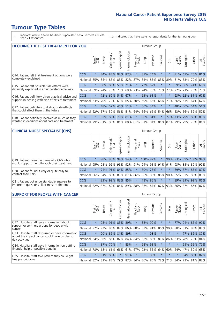\* Indicates where a score has been suppressed because there are less than 21 responses.

n.a. Indicates that there were no respondents for that tumour group.

| <b>DECIDING THE BEST TREATMENT FOR YOU</b>         |            |         |               |            |                 |                |                         |      | <b>Tumour Group</b> |                                 |         |                       |            |                 |                |
|----------------------------------------------------|------------|---------|---------------|------------|-----------------|----------------|-------------------------|------|---------------------|---------------------------------|---------|-----------------------|------------|-----------------|----------------|
|                                                    |            | Brain   | <b>Breast</b> | Colorectal | Gynaecological  | Haematological | aad and<br>Neck<br>Head | Lung | Prostate            | Sarcoma                         | Skin    | Upper<br>Gastro       | Jrological | Other           | All<br>Cancers |
| Q14. Patient felt that treatment options were      | <b>CCG</b> | $\star$ | 84%           | 83%        | 92%             | 87%            | $\star$                 |      | 81% 74%             | $\star$                         |         | 81%                   |            | 67% 76% 81%     |                |
| completely explained                               | National   | 85%     | 85%           | 85%        |                 | 85% 82%        | 87%                     |      | 84% 83%             | 83%                             | 89%     | 81%                   |            | 83% 79% 83%     |                |
| Q15. Patient felt possible side effects were       | <b>CCG</b> | $\star$ |               | 68% 80%    |                 | 53% 71%        | $\star$                 |      | 72% 67%             | $\star$                         |         | 69%                   |            | 56% 74% 69%     |                |
| definitely explained in an understandable way      | National   | 69%     | 74%           | 76%        |                 | 75% 69%        | 73%                     |      | 74% 73%             | 73%                             | 77%     | 72%                   | 71%        | 70%             | 73%            |
| Q16. Patient definitely given practical advice and | CCG        | $\star$ |               |            | 72% 69% 54% 67% |                | $\star$                 |      | 63% 61%             | $\star$                         | $\star$ |                       |            | 63% 62% 81% 67% |                |
| support in dealing with side effects of treatment  | National   | 63%     | 70%           | 70%        |                 | 69% 65%        | 70%                     |      | 69% 65%             | 66%                             | 71%     |                       |            | 66% 63% 64% 67% |                |
| Q17. Patient definitely told about side effects    | CCG        | $\star$ |               |            | 48% 57% 46% 51% |                | $\ast$                  |      | 50% 54%             | $\star$                         | $\star$ | 48%                   |            | 50% 54% 51%     |                |
| that could affect them in the future               | National   | 62%     | 57%           | 59%        |                 | 56% 51%        | 64%                     |      | 56% 66%             | 54%                             | 66%     | 53%                   |            | 56% 52%         | 57%            |
| Q18. Patient definitely involved as much as they   | <b>CCG</b> | $\star$ |               | 83% 83%    | 70% 81%         |                | $\star$                 |      | 86% 81%             | $\ast$                          | 77%     | 73%   79%   80%   80% |            |                 |                |
| wanted in decisions about care and treatment       | National   | 79%     |               |            |                 |                |                         |      |                     | 81% 83% 81% 80% 81% 81% 84% 81% | 87%     | 79%                   |            | 79% 78% 81%     |                |

#### **CLINICAL NURSE SPECIALIST (CNS)** Tumour Group

|                                             |            | Brain    | Breast                                      | olorectal<br>LGT<br>U | त्त<br>aecologic<br>Š | ক<br>aematologic<br>工 | Head and<br>Neck | Lung     | Prostate | Sarcoma | Skin   | Upper<br>Gastro | σ<br>rologica | Other                                 | All<br>ancers<br>$\cup$ |
|---------------------------------------------|------------|----------|---------------------------------------------|-----------------------|-----------------------|-----------------------|------------------|----------|----------|---------|--------|-----------------|---------------|---------------------------------------|-------------------------|
| Q19. Patient given the name of a CNS who    | <b>CCG</b> | $^\star$ |                                             |                       | 98% 90% 94%           | 94%                   | $\ast$           | 100% 92% |          |         |        | 90% 93%         |               | 89% 100% 94%                          |                         |
| would support them through their treatment  | National   | 95%      |                                             |                       | 95%   92%   95%       |                       |                  |          |          |         |        |                 |               | 92% 91% 94% 91% 91% 91% 93% 85% 89% 9 | 92%                     |
| Q20. Patient found it very or quite easy to | <b>CCG</b> | $\star$  |                                             |                       | 74% 91% 84% 85%       |                       | $\star$          | 80% 75%  |          | $\ast$  | $\ast$ |                 |               | 89% 87% 83% 82%                       |                         |
| contact their CNS                           | National   |          | 86% 84% 88% 85% 87% 86% 86% 80% 86% 90% 85% |                       |                       |                       |                  |          |          |         |        |                 |               | 83% 83%                               | 85%                     |
| Q21. Patient got understandable answers to  | CCG        | $\star$  | 83%                                         | 92%                   | 83%                   | 85%                   | $\star$          |          | 78% 85%  | $\star$ |        | 89%             |               | 89% 92%                               | 86%                     |
| important questions all or most of the time | National I |          | 82%   87%   89%                             |                       | 86%                   |                       |                  |          |          |         |        |                 |               | 89% 88% 86% 87% 87% 93% 86% 87% 86%   | 87%                     |

| <b>SUPPORT FOR PEOPLE WITH CANCER</b>                                                             |            |         |               |            |                |                |                         |          | Tumour Group |                          |         |                 |            |         |                |
|---------------------------------------------------------------------------------------------------|------------|---------|---------------|------------|----------------|----------------|-------------------------|----------|--------------|--------------------------|---------|-----------------|------------|---------|----------------|
|                                                                                                   |            | Brain   | <b>Breast</b> | Colorectal | Gynaecological | Haematological | ead and<br>Neck<br>Head | Lung     | Prostate     | arcoma<br>$\overline{2}$ | Skin    | Upper<br>Gastro | Jrological | Other   | All<br>Cancers |
| Q22. Hospital staff gave information about<br>support or self-help groups for people with         | <b>CCG</b> | $\star$ | 98%           | 91%        | 85%            | 89%            | $\ast$                  | 88%      | 90%          | $^\star$                 |         | 77%             | 94%        | 86%     | 90%            |
| cancer                                                                                            | National   | 92%     | 92%           | 88%        | 87%            | 86%            | 88%                     | 87%      | 91%          | 86%                      | 90%     | 88%             | 81%        | 83%     | 88%            |
| Q23. Hospital staff discussed or gave information<br>about the impact cancer could have on day to | CCG.       | $\star$ | 90%           | 86%        | 81%            | 89%            | $\star$                 | $\star$  | 93%          | $\star$                  | $\star$ | $\star$         | 77%        |         | 86% 87%        |
| day activities                                                                                    | National   | 84%     | 86%           | 85%        | 82%            | 84%            | 84%                     | 83%      | 88%          | 81%                      | 86%     | 83%             |            | 78% 79% | 84%            |
| Q24. Hospital staff gave information on getting                                                   | CCG        | $\star$ | 87%           | 70%        | $\star$        | 83%            | $\star$                 |          | 68% 63%      | $\star$                  | $\star$ | $\star$         |            | 65% 55% | 172%           |
| financial help or possible benefits                                                               | National   | 78%     | 68%           | 61%        | 66%            | 61%            | 67%                     |          | 72% 55%      | 64%                      | 60%     | 64%             | 47%        | 59%     | 63%            |
| Q25. Hospital staff told patient they could get                                                   | CCG        | $\star$ | 91%           | 89%        | $\star$        | 91%            | $\star$                 | $^\star$ | 86%          | $\star$                  | $\star$ | $\star$         |            | 64% 89% | 87%            |
| free prescriptions                                                                                | National   | 82%     |               | 81% 83%    | 79%            |                | 87% 84% 86% 80%         |          |              | 78%                      | 71%     | 84%             |            | 73% 81% | 82%            |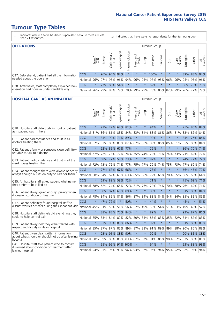- \* Indicates where a score has been suppressed because there are less than 21 responses.
- n.a. Indicates that there were no respondents for that tumour group.

| <b>OPERATIONS</b>                                                                           |            |              |               |                   |                |                |                  |             | Tumour Group            |         |         |                 |            |             |                |  |  |
|---------------------------------------------------------------------------------------------|------------|--------------|---------------|-------------------|----------------|----------------|------------------|-------------|-------------------------|---------|---------|-----------------|------------|-------------|----------------|--|--|
|                                                                                             |            | Brain<br>CNS | <b>Breast</b> | Colorectal<br>LGT | Gynaecological | Haematological | Head and<br>Neck | <b>Dung</b> | Prostate                | Sarcoma | Skin    | Upper<br>Gastro | Irological | Other       | All<br>Cancers |  |  |
| Q27. Beforehand, patient had all the information                                            | CCG        | $\star$      |               | 96% 95%           | 92%            | $\star$        | $\star$          | $\star$     | 100%                    |         | $\star$ | $\star$         |            | 89% 88% 94% |                |  |  |
| needed about the operation                                                                  | National   | 96%          |               | 97% 96% 96%       |                |                |                  |             | 94% 96% 95% 97% 95% 96% |         |         | 96%             |            | 95% 95% 96% |                |  |  |
| Q28. Afterwards, staff completely explained how<br>operation had gone in understandable way | <b>CCG</b> | $\star$      |               | 77% 86%           | 54%            | $\star$        | $\star$          | $\star$     | 62%                     |         | $\star$ | $\star$         |            | 66% 78% 73% |                |  |  |
|                                                                                             | National   | 76%          |               | 79% 83%           | 79%            |                | 78% 79%          |             | 79% 78% 80% 82%         |         |         | 79%             |            | 76% 77%     | 79%            |  |  |

#### **HOSPITAL CARE AS AN INPATIENT** Tumour Group

|                                                                                                   |          | Brain   | <b>Breast</b> | $\frac{\text{Colored}}{\text{LGT}}$ | Gynaecological | Haematological          | Head and<br>Neck | Lung    | Prostate | Sarcoma | Skin    | Upper<br>Gastro | Urological | Other       | Cancers<br>$\overline{\overline{z}}$ |
|---------------------------------------------------------------------------------------------------|----------|---------|---------------|-------------------------------------|----------------|-------------------------|------------------|---------|----------|---------|---------|-----------------|------------|-------------|--------------------------------------|
| Q30. Hospital staff didn't talk in front of patient                                               | CCG      | $\star$ | 93%           | 79%                                 | 67%            | 82%                     | $\star$          | $\star$ | 94%      | $\star$ | $\star$ | $\star$         |            | 75% 86% 84% |                                      |
| as if patient wasn't there                                                                        | National | 81%     | $86\%$        | 81%                                 | 83%            | 84% 83% 81%             |                  |         | 88%      | 86%     | 86%     | 81%             | 83%        | 82%         | 84%                                  |
| 031. Patient had confidence and trust in all<br>doctors treating them                             | CCG      | $\star$ | 84%           |                                     | 90% 71% 89%    |                         | $\star$          | $\star$ | 92%      | $\star$ | $\star$ |                 |            | 84% 76%     | 84%                                  |
|                                                                                                   | National | 82%     | 83%           | 85%                                 | 83%            | 82%                     | 87%              | 83%     | 89%      | 86%     | 85%     | 81%             | 85%        | 80%         | 84%                                  |
| Q32. Patient's family or someone close definitely                                                 | CCG      | $\star$ |               | 62% 85% 67%                         |                | 77%                     | $\star$          | $\star$ | 76%      | $\star$ | $\star$ | $\star$         |            | 86% 70% 74% |                                      |
| felt able to talk to a doctor                                                                     | National | 67%     | 72%           | 73%                                 | 72%            | 74%                     | 75%              | 74%     | 72%      | 71%     | 74%     | 73%             | 71%        | 69%         | 72%                                  |
| Q33. Patient had confidence and trust in all the                                                  | CCG      | $\star$ | 68%           | 77%                                 |                | 58% 73%                 | $\star$          | $\star$ | 87%      | $\star$ | $\star$ |                 |            | 74% 72%     | 72%                                  |
| ward nurses treating them                                                                         | National | 72%     | 73%           | 72%                                 |                | 71% 77%                 |                  | 75% 77% | 79%      | 74%     | 75%     | 73%             | 77%        | 69%         | 74%                                  |
| Q34. Patient thought there were always or nearly<br>always enough nurses on duty to care for them | CCG      | $\star$ | 77%           | 67%                                 | 67%            | 66%                     | $\star$          | $\star$ | 78%      | $\star$ | $\star$ | $\star$         |            | 66% 45% 70% |                                      |
|                                                                                                   | National | 68%     | 64%           | 62%                                 | 63%            | 63%                     | 65% 68%          |         | 72%      | 65%     |         | 70% 65%         | 66%        | 60% 64%     |                                      |
| Q35. All hospital staff asked patient what name                                                   | CCG      | $\star$ |               | 69% 82%                             | 58% 72%        |                         | $\star$          | $\star$ | 71%      | $\star$ | $\star$ | $\star$         |            | 75% 62% 71% |                                      |
| they prefer to be called by                                                                       | National | 68%     | 62%           | 74%                                 | 65%            | 72%                     | 71%              | 76%     | 72%      | 74%     | 70%     | 78%             | 76%        | 69%         | 71%                                  |
| Q36. Patient always given enough privacy when                                                     | CCG      | $\star$ | 88%           | 87%                                 |                | 65% 89%                 | $\star$          | $\star$ | 86%      | $\star$ | $\star$ |                 |            | 81% 83% 84% |                                      |
| discussing condition or treatment                                                                 | National | 78%     |               | 84% 85%                             | 81%            | 86% 87% 84%             |                  |         | 88%      | 84%     | 84%     | 84%             |            | 85% 82% 85% |                                      |
| Q37. Patient definitely found hospital staff to                                                   | CCG      | $\star$ | 47%           | 72%                                 | $\star$        | 50%                     | $\star$          | $\star$ | 44%      | $\star$ | $\star$ | $\star$         | 45%        | $\star$     | 51%                                  |
| discuss worries or fears during their inpatient visit                                             | National | 45%     |               | 51% 55%                             | 51%            | 56%                     |                  | 52% 49% | 53%      | 54%     |         | 51% 53%         | 49%        | 46%         | 52%                                  |
| Q38. Hospital staff definitely did everything they                                                | CCG      | $\star$ |               | 88% 83% 75% 84%                     |                |                         | $\star$          | $\star$ | 89%      | $\star$ | $\star$ | $\star$         |            | 93% 87% 86% |                                      |
| could to help control pain                                                                        | National | 85%     | 83%           | 84%                                 |                | 82% 82% 80%             |                  | 84%     | 85%      | 83%     | 85%     | 82%             |            | 81% 82% 83% |                                      |
| Q39. Patient always felt they were treated with                                                   | CCG      | $\star$ | 93%           |                                     | 90% 88% 86%    |                         | $\star$          | $\star$ | 92%      | $\star$ | $\star$ |                 |            | 81% 83% 89% |                                      |
| respect and dignity while in hospital                                                             | National | 85%     | 87%           | 87%                                 | 85%            | 89% 87%                 |                  | 88%     | 91%      | 89%     | 89%     | 88%             | 90%        | 86%         | 88%                                  |
| Q40. Patient given clear written information<br>about what should or should not do after leaving  | CCG      | $\star$ |               | 93% 91% 83% 90%                     |                |                         | $\star$          | $\star$ | 90%      | $\star$ | $\star$ | $\star$         |            | 90% 85% 88% |                                      |
| hospital                                                                                          | National | 80%     | 89%           | 86%                                 | 86%            | 83%                     |                  | 87% 82% | 91%      | 85%     | 90%     | 82%             | 87%        | 83% 86%     |                                      |
| Q41. Hospital staff told patient who to contact<br>if worried about condition or treatment after  | CCG      | $\star$ | 95%           |                                     |                | 95% 91% 100%            | $\star$          | $\star$ | 94%      | $\star$ | $\star$ | $\star$         |            | 93% 88%     | 93%                                  |
| leaving hospital                                                                                  | National | 94%     |               |                                     |                | 95% 95% 93% 96% 93% 92% |                  |         |          |         |         | 96% 94% 95% 92% |            | 92% 93% 94% |                                      |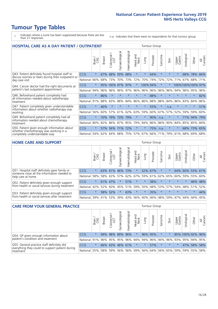- \* Indicates where a score has been suppressed because there are less than 21 responses.
- n.a. Indicates that there were no respondents for that tumour group.

| <b>HOSPITAL CARE AS A DAY PATIENT / OUTPATIENT</b><br>Tumour Group                                                    |            |         |               |                 |                |                |                         |          |          |                          |         |                 |            |                    |                |
|-----------------------------------------------------------------------------------------------------------------------|------------|---------|---------------|-----------------|----------------|----------------|-------------------------|----------|----------|--------------------------|---------|-----------------|------------|--------------------|----------------|
|                                                                                                                       |            | Brain   | <b>Breast</b> | ╮<br>Colorectal | Gynaecological | Haematological | ead and<br>Neck<br>Head | Lung     | Prostate | arcoma<br>$\overline{2}$ | Skin    | Upper<br>Gastro | Urological | Other              | All<br>Cancers |
| Q43. Patient definitely found hospital staff to                                                                       | CCG        | $\star$ | 67%           | 68%             | 50%            | 68%            | $\star$                 | $\star$  | 64%      | $\star$                  | $\star$ | $\star$         | 68%        | 78%                | 66%            |
| discuss worries or fears during their outpatient or<br>day case visit                                                 | National   | 66%     | 68%           | 73%             | 70%            | 73%            | 72%                     | 70%      | 74%      | 72%                      | 72%     | 71%             | 67%        | 68%                | 71%            |
| Q44. Cancer doctor had the right documents at<br>patient's last outpatient appointment                                | CCG        | $\star$ | 95%           | 100% 97%        |                | 97%            | $\star$                 | 100% 94% |          | $\star$                  |         |                 |            | 100% 100% 100% 97% |                |
|                                                                                                                       | National   | 94%     | 96%           | 96%             | 96%            | 97%            | 96%                     | 96%      | 96%      | 96%                      | 96%     | 94%             | 96% 95%    |                    | 96%            |
| Q46. Beforehand patient completely had                                                                                | <b>CCG</b> | $\star$ | 86%           | $\star$         | $\star$        | $\star$        | $\star$                 | $\star$  | 88%      | $\star$                  | $\star$ | $\star$         | $\star$    | $\ast$             | 82%            |
| all information needed about radiotherapy<br>treatment                                                                | National   | 91%     | 88%           | 83%             | 88%            | 84%            | 86%                     | 86%      | 88%      | 88%                      | 84%     | 86%             | 83%        | 84%                | 86%            |
| Q47. Patient completely given understandable                                                                          | <b>CCG</b> | $\star$ | 46%           | $\star$         |                |                | $\star$                 | $\star$  | 55%      | $\star$                  | n.a.    | $\star$         |            | $\star$            | 51%            |
| information about whether radiotherapy was<br>working                                                                 | National   | 56%     | 60%           | 57%             | 61%            | 62%            | 63%                     | 59%      | 60%      | 67%                      | 57%     | 52%             | 59%        | 59%                | 60%            |
| Q49. Beforehand patient completely had all                                                                            | <b>CCG</b> | $\star$ | 70%           | 79%             | 73%            | 79%            | $\star$                 | $\star$  | 90%      | n.a.                     |         |                 | 71%        | 94%                | 79%            |
| information needed about chemotherapy<br>treatment                                                                    | National   | 80%     | 82%           | 86%             |                | 87% 85%        | 79%                     | 84%      | 86%      | 86%                      | 90%     | 84%             | 85%        | 85%                | 84%            |
| Q50. Patient given enough information about<br>whether chemotherapy was working in a<br>completely understandable way | CCG        | $\star$ | 57%           | 56%             | 71%            | 72%            | $\star$                 | $\star$  | 75%      | n.a.                     | $\star$ | $\star$         | 68%        | 73%                | 65%            |
|                                                                                                                       | National   | 54%     | 62%           | 64%             | 68%            | 75%            | 57%                     | 67%      | 66%      | 71%                      | 79%     | 61%             | 68%        | 69%                | 68%            |

#### **HOME CARE AND SUPPORT** Tumour Group

|                                                                                                                   |            | Brain<br>CNS | <b>Breast</b> | Colorectal | $\overline{\sigma}$<br>Gynaecologic | Haematological | ad and<br>Neck<br>Head | Lung    | Prostate | Sarcoma  | Skin    | Upper<br>Gastro | Urological | Other   | All<br>Cancers |
|-------------------------------------------------------------------------------------------------------------------|------------|--------------|---------------|------------|-------------------------------------|----------------|------------------------|---------|----------|----------|---------|-----------------|------------|---------|----------------|
| Q51. Hospital staff definitely gave family or<br>someone close all the information needed to<br>help care at home | <b>CCG</b> | $\star$      | 63%           | 61%        |                                     | 46% 73%        | $\star$                |         | 52% 67%  | $^\star$ |         | 64%             | 60%        | 53%     | 61%            |
|                                                                                                                   | National   | 58%          |               | 58% 63%    | 57%                                 | 62%            | 67%                    | 59%     | 61%      |          | 62% 65% | 60%             | 59%        | 55%     | 60%            |
| Q52. Patient definitely given enough support                                                                      | <b>CCG</b> | $\star$      |               | 61% 47%    | $\star$                             | 51%            | $\star$                | $\star$ | 38%      | $\star$  | $\star$ | $\star$         | $\star$    | 46% 48% |                |
| from health or social services during treatment                                                                   | National   | 42%          | 52%           | 60%        |                                     | 45% 51%        | 59%                    | 50%     | 48%      |          | 53% 57% | 54%             | 48% 51%    |         | 52%            |
| Q53. Patient definitely given enough support<br>from health or social services after treatment                    | <b>CCG</b> | $\star$      |               | 58% 52%    | $\star$                             | 63%            | $\star$                | $\star$ | 35%      |          | $\star$ | $\star$         | $\star$    | $\star$ | 44%            |
|                                                                                                                   | National   | 39%          |               | 41% 53%    | 39%                                 | 43%            | 56%                    | 40%     | 46%      |          | 48% 59% | 47%             | 44%        | 44%     | 45%            |

| <b>CARE FROM YOUR GENERAL PRACTICE</b>                                                                     |              |         |               |                        |               |                 |                                               | <b>Tumour Group</b> |          |         |         |                 |                                                         |         |                |  |
|------------------------------------------------------------------------------------------------------------|--------------|---------|---------------|------------------------|---------------|-----------------|-----------------------------------------------|---------------------|----------|---------|---------|-----------------|---------------------------------------------------------|---------|----------------|--|
|                                                                                                            |              | Brain,  | <b>Breast</b> | ╮<br>Colorectal<br>LGT | Gynaecologica | Haematological  | Head and<br>Neck                              | Lung                | Prostate | Sarcoma | Skin    | Upper<br>Gastro | $\sigma$<br>Urologica                                   | Other   | All<br>Cancers |  |
| Q54. GP given enough information about                                                                     | CCG          | $\star$ |               |                        |               | 99% 98% 89% 96% | $\ast$                                        |                     | 96% 95%  | $\star$ |         |                 | 85% 100% 92% 96%                                        |         |                |  |
| patient's condition and treatment                                                                          | National 91% |         |               |                        |               |                 |                                               |                     |          |         |         |                 | 96% 95% 95% 96% 94% 94% 96% 94% 96% 93% 93% 95% 94% 95% |         |                |  |
| Q55. General practice staff definitely did<br>everything they could to support patient during<br>treatment | <b>CCG</b>   | $\star$ |               |                        |               | 66% 63% 46% 61% | $\star$                                       | $\star$             | 57%      | $\star$ | $\star$ |                 |                                                         | 47% 58% | 58%            |  |
|                                                                                                            | National 55% |         |               | 58% 59%                |               |                 | 56%   56%   59%   56%   64%   56%   65%   59% |                     |          |         |         |                 |                                                         | 59% 55% | 58%            |  |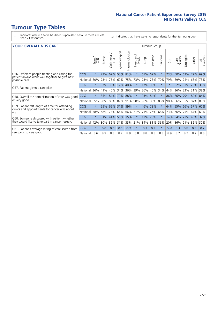- \* Indicates where a score has been suppressed because there are less than 21 responses.
- n.a. Indicates that there were no respondents for that tumour group.

#### **YOUR OVERALL NHS CARE** THE CONSTRUCTION OF THE THROUP GROUP TUMOUR GROUP

| I YON OVERALL NI IS CARL                                                                        |            |         |               |                             |                |                | anour oroup      |         |          |              |        |                 |                |         |                |
|-------------------------------------------------------------------------------------------------|------------|---------|---------------|-----------------------------|----------------|----------------|------------------|---------|----------|--------------|--------|-----------------|----------------|---------|----------------|
|                                                                                                 |            | Brain   | <b>Breast</b> | ╮<br>olorectal.<br>LGT<br>Û | Gynaecological | Haematological | Head and<br>Neck | Lung    | Prostate | arcoma<br>ιñ | Skin   | Upper<br>Gastro | लु<br>Urologia | Other   | All<br>Cancers |
| Q56. Different people treating and caring for                                                   | <b>CCG</b> | $\star$ | 73%           | 67%                         | 53%            | 81%            | $\star$          | 67%     | 67%      | $\ast$       | 73%    | 50%             | 63%            | 72%     | 69%            |
| patient always work well together to give best<br>possible care                                 | National   | 60%     |               | 73% 73%                     | 69%            | 75%            | 73%              |         | 73% 75%  | 70%          | 79%    | 69%             | 74%            | 68%     | 73%            |
| Q57. Patient given a care plan                                                                  | <b>CCG</b> | $\star$ |               | 37% 33%                     |                | 17% 40%        | $\star$          | 17% 35% |          | $\star$      | $\ast$ | 32% 33%         |                | 20% 33% |                |
|                                                                                                 | National   | 36%     | 41%           | 40%                         | 34%            | 36%            | 39%              | 36% 40% |          | 34%          | 44%    | 36%             | 33%            | 31%     | 38%            |
| Q58. Overall the administration of care was good                                                | <b>CCG</b> | $\star$ | 85%           | 84%                         | 79% 88%        |                | $\star$          | 93% 84% |          | $\ast$       | 86%    | 86%             | 79%            | 80% 84% |                |
| or very good                                                                                    | National   | 85%     |               | 90% 88%                     | 87% 91%        |                | 90%              |         | 90% 88%  | 88%          | 90%    | 86% 85%         |                | 87% 89% |                |
| Q59. Patient felt length of time for attending<br>clinics and appointments for cancer was about | <b>CCG</b> | $\star$ |               |                             | 55% 65% 31%    | 59%            | $\star$          | 46% 78% |          | $\star$      | 64%    | 55% 66% 57% 60% |                |         |                |
| right                                                                                           | National   | 58%     | 68%           | 73%                         | 66%            | 66%            | 71%              | 71%     | 76%      | 68%          | 73%    | 66%             | 75%            | 64%     | 69%            |
| Q60. Someone discussed with patient whether                                                     | <b>CCG</b> | $\star$ | 31%           | 41%                         | 56% 35%        |                | $\star$          | 17%     | 20%      | $\star$      | 14%    | 34%             | 23%            | 45%     | 32%            |
| they would like to take part in cancer research                                                 | National   | 42%     | $30\%$        | 32%                         | 31%            | 33%            | 21%              | 34% 31% |          | 36%          | 20%    | 36%             | 21%            | 32%     | 30%            |
| Q61. Patient's average rating of care scored from                                               | <b>CCG</b> | $\star$ | 8.8           | 8.6                         | 8.5            | 8.9            | $\star$          | 8.3     | 8.7      | $\star$      | 9.0    | 8.3             | 8.6            | 8.7     | 8.7            |
| very poor to very good                                                                          | National   | 8.6     | 8.9           | 8.8                         | 8.7            | 8.9            | 8.8              | 8.8     | 8.8      | 8.8          | 8.9    | 8.7             | 8.7            | 8.7     | 8.8            |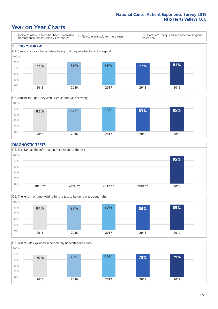### **Year on Year Charts**





#### **DIAGNOSTIC TESTS**





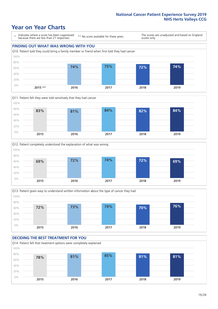### **Year on Year Charts**

\* Indicates where a score has been suppressed because there are less than 21 responses.

\*\* No score available for these years.

The scores are unadjusted and based on England scores only.









#### **DECIDING THE BEST TREATMENT FOR YOU**

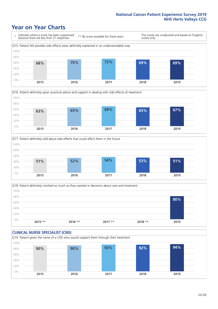### **Year on Year Charts**







Q18. Patient definitely involved as much as they wanted in decisions about care and treatment  $0%$ 20% 40% 60% 80% 100% **2015 \*\* 2016 \*\* 2017 \*\* 2018 \*\* 2019 80%**

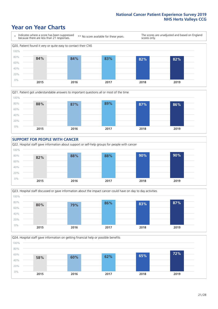### **Year on Year Charts**









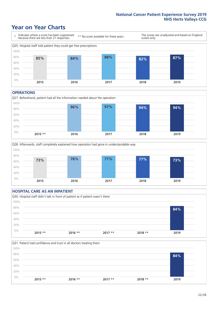### **Year on Year Charts**



#### **OPERATIONS**





#### **HOSPITAL CARE AS AN INPATIENT** Q30. Hospital staff didn't talk in front of patient as if patient wasn't there 0% 20% 40% 60% 80% 100% **2015 \*\* 2016 \*\* 2017 \*\* 2018 \*\* 2019 84%**

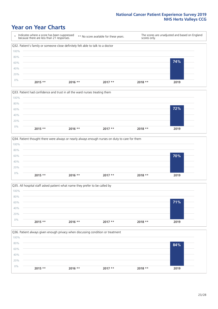### **Year on Year Charts**









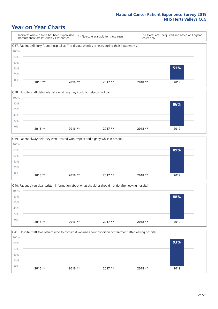### **Year on Year Charts**

\* Indicates where a score has been suppressed because there are less than 21 responses. \*\* No score available for these years. The scores are unadjusted and based on England scores only. Q37. Patient definitely found hospital staff to discuss worries or fears during their inpatient visit 0% 20% 40% 60% 80% 100% **2015 \*\* 2016 \*\* 2017 \*\* 2018 \*\* 2019 51%**







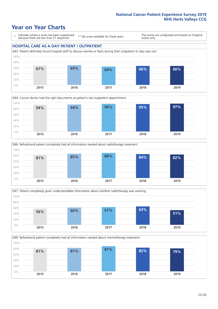### **Year on Year Charts**

\* Indicates where a score has been suppressed because there are less than 21 responses.

\*\* No score available for these years.

The scores are unadjusted and based on England scores only.

#### **HOSPITAL CARE AS A DAY PATIENT / OUTPATIENT**









Q49. Beforehand patient completely had all information needed about chemotherapy treatment 0% 20% 40% 60% 80% 100% **2015 2016 2017 2018 2019 81% 81% 87% 82% 79%**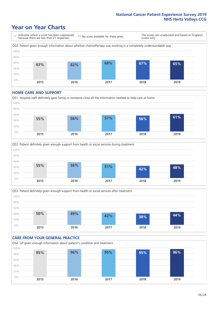### **Year on Year Charts**

\* Indicates where a score has been suppressed because there are less than 21 responses. \*\* No score available for these years. The scores are unadjusted and based on England scores only. Q50. Patient given enough information about whether chemotherapy was working in a completely understandable way 0% 20% 40% 60% 80% 100% **2015 2016 2017 2018 2019 63% 62% 68% 67% 65%**

#### **HOME CARE AND SUPPORT**







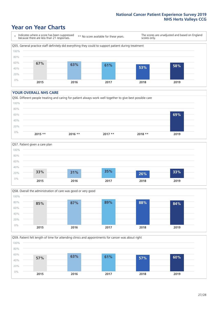### **Year on Year Charts**

\* Indicates where a score has been suppressed because there are less than 21 responses.

\*\* No score available for these years.

The scores are unadjusted and based on England scores only.



#### **YOUR OVERALL NHS CARE**







Q59. Patient felt length of time for attending clinics and appointments for cancer was about right